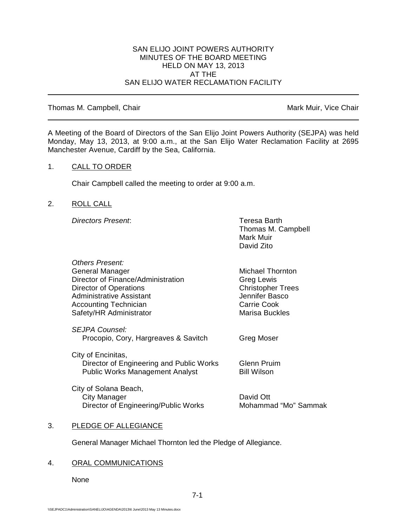### SAN ELIJO JOINT POWERS AUTHORITY MINUTES OF THE BOARD MEETING HELD ON MAY 13, 2013 AT THE SAN ELIJO WATER RECLAMATION FACILITY

### Thomas M. Campbell, Chair Mark Muir, Vice Chair Muir, Vice Chair

A Meeting of the Board of Directors of the San Elijo Joint Powers Authority (SEJPA) was held Monday, May 13, 2013, at 9:00 a.m., at the San Elijo Water Reclamation Facility at 2695 Manchester Avenue, Cardiff by the Sea, California.

## 1. CALL TO ORDER

Chair Campbell called the meeting to order at 9:00 a.m.

## 2. ROLL CALL

*Directors Present*: Teresa Barth

*Others Present:*

Thomas M. Campbell Mark Muir David Zito

| Others Present:                          |                          |
|------------------------------------------|--------------------------|
| General Manager                          | Michael Thornton         |
| Director of Finance/Administration       | Greg Lewis               |
| Director of Operations                   | <b>Christopher Trees</b> |
| Administrative Assistant                 | Jennifer Basco           |
| Accounting Technician                    | <b>Carrie Cook</b>       |
| Safety/HR Administrator                  | <b>Marisa Buckles</b>    |
| <b>SEJPA Counsel:</b>                    |                          |
| Procopio, Cory, Hargreaves & Savitch     | <b>Greg Moser</b>        |
| City of Encinitas,                       |                          |
| Director of Engineering and Public Works | Glenn Pruim              |
| <b>Public Works Management Analyst</b>   | <b>Bill Wilson</b>       |
| City of Solana Beach,                    |                          |
| City Manager                             | David Ott                |
| Director of Engineering/Public Works     | Mohammad "Mo" Sammak     |
|                                          |                          |

### 3. PLEDGE OF ALLEGIANCE

General Manager Michael Thornton led the Pledge of Allegiance.

# 4. ORAL COMMUNICATIONS

None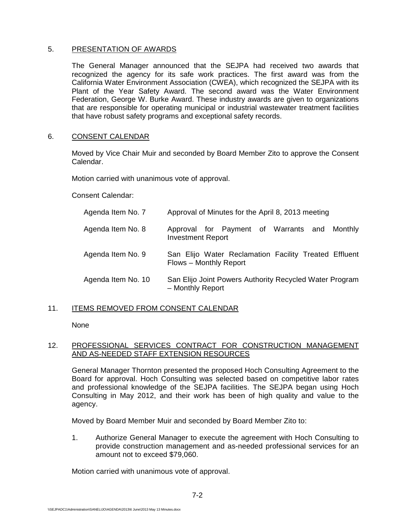## 5. PRESENTATION OF AWARDS

The General Manager announced that the SEJPA had received two awards that recognized the agency for its safe work practices. The first award was from the California Water Environment Association (CWEA), which recognized the SEJPA with its Plant of the Year Safety Award. The second award was the Water Environment Federation, George W. Burke Award. These industry awards are given to organizations that are responsible for operating municipal or industrial wastewater treatment facilities that have robust safety programs and exceptional safety records.

## 6. CONSENT CALENDAR

Moved by Vice Chair Muir and seconded by Board Member Zito to approve the Consent Calendar.

Motion carried with unanimous vote of approval.

Consent Calendar:

| Agenda Item No. 7  | Approval of Minutes for the April 8, 2013 meeting                               |
|--------------------|---------------------------------------------------------------------------------|
| Agenda Item No. 8  | Approval for Payment of Warrants and Monthly<br><b>Investment Report</b>        |
| Agenda Item No. 9  | San Elijo Water Reclamation Facility Treated Effluent<br>Flows - Monthly Report |
| Agenda Item No. 10 | San Elijo Joint Powers Authority Recycled Water Program<br>- Monthly Report     |

# 11. ITEMS REMOVED FROM CONSENT CALENDAR

None

# 12. PROFESSIONAL SERVICES CONTRACT FOR CONSTRUCTION MANAGEMENT AND AS-NEEDED STAFF EXTENSION RESOURCES

General Manager Thornton presented the proposed Hoch Consulting Agreement to the Board for approval. Hoch Consulting was selected based on competitive labor rates and professional knowledge of the SEJPA facilities. The SEJPA began using Hoch Consulting in May 2012, and their work has been of high quality and value to the agency.

Moved by Board Member Muir and seconded by Board Member Zito to:

1. Authorize General Manager to execute the agreement with Hoch Consulting to provide construction management and as-needed professional services for an amount not to exceed \$79,060.

Motion carried with unanimous vote of approval.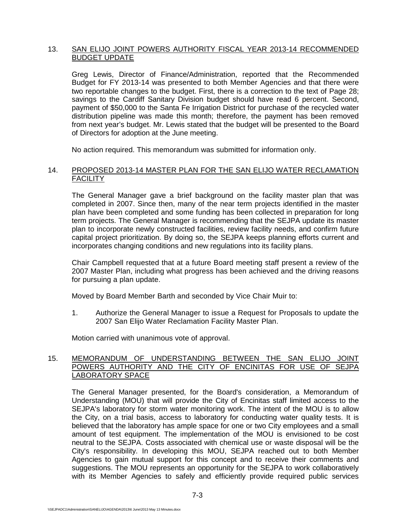## 13. SAN ELIJO JOINT POWERS AUTHORITY FISCAL YEAR 2013-14 RECOMMENDED BUDGET UPDATE

Greg Lewis, Director of Finance/Administration, reported that the Recommended Budget for FY 2013-14 was presented to both Member Agencies and that there were two reportable changes to the budget. First, there is a correction to the text of Page 28; savings to the Cardiff Sanitary Division budget should have read 6 percent. Second, payment of \$50,000 to the Santa Fe Irrigation District for purchase of the recycled water distribution pipeline was made this month; therefore, the payment has been removed from next year's budget. Mr. Lewis stated that the budget will be presented to the Board of Directors for adoption at the June meeting.

No action required. This memorandum was submitted for information only.

### 14. PROPOSED 2013-14 MASTER PLAN FOR THE SAN ELIJO WATER RECLAMATION **FACILITY**

The General Manager gave a brief background on the facility master plan that was completed in 2007. Since then, many of the near term projects identified in the master plan have been completed and some funding has been collected in preparation for long term projects. The General Manager is recommending that the SEJPA update its master plan to incorporate newly constructed facilities, review facility needs, and confirm future capital project prioritization. By doing so, the SEJPA keeps planning efforts current and incorporates changing conditions and new regulations into its facility plans.

Chair Campbell requested that at a future Board meeting staff present a review of the 2007 Master Plan, including what progress has been achieved and the driving reasons for pursuing a plan update.

Moved by Board Member Barth and seconded by Vice Chair Muir to:

1. Authorize the General Manager to issue a Request for Proposals to update the 2007 San Elijo Water Reclamation Facility Master Plan.

Motion carried with unanimous vote of approval.

### 15. MEMORANDUM OF UNDERSTANDING BETWEEN THE SAN ELIJO JOINT POWERS AUTHORITY AND THE CITY OF ENCINITAS FOR USE OF SEJPA LABORATORY SPACE

The General Manager presented, for the Board's consideration, a Memorandum of Understanding (MOU) that will provide the City of Encinitas staff limited access to the SEJPA's laboratory for storm water monitoring work. The intent of the MOU is to allow the City, on a trial basis, access to laboratory for conducting water quality tests. It is believed that the laboratory has ample space for one or two City employees and a small amount of test equipment. The implementation of the MOU is envisioned to be cost neutral to the SEJPA. Costs associated with chemical use or waste disposal will be the City's responsibility. In developing this MOU, SEJPA reached out to both Member Agencies to gain mutual support for this concept and to receive their comments and suggestions. The MOU represents an opportunity for the SEJPA to work collaboratively with its Member Agencies to safely and efficiently provide required public services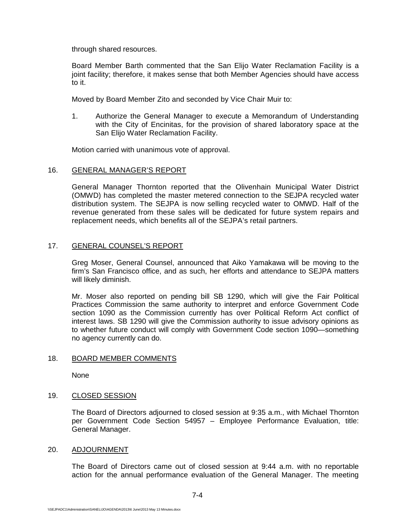through shared resources.

Board Member Barth commented that the San Elijo Water Reclamation Facility is a joint facility; therefore, it makes sense that both Member Agencies should have access to it.

Moved by Board Member Zito and seconded by Vice Chair Muir to:

1. Authorize the General Manager to execute a Memorandum of Understanding with the City of Encinitas, for the provision of shared laboratory space at the San Elijo Water Reclamation Facility.

Motion carried with unanimous vote of approval.

#### 16. GENERAL MANAGER'S REPORT

General Manager Thornton reported that the Olivenhain Municipal Water District (OMWD) has completed the master metered connection to the SEJPA recycled water distribution system. The SEJPA is now selling recycled water to OMWD. Half of the revenue generated from these sales will be dedicated for future system repairs and replacement needs, which benefits all of the SEJPA's retail partners.

### 17. GENERAL COUNSEL'S REPORT

Greg Moser, General Counsel, announced that Aiko Yamakawa will be moving to the firm's San Francisco office, and as such, her efforts and attendance to SEJPA matters will likely diminish.

Mr. Moser also reported on pending bill SB 1290, which will give the Fair Political Practices Commission the same authority to interpret and enforce Government Code section 1090 as the Commission currently has over Political Reform Act conflict of interest laws. SB 1290 will give the Commission authority to issue advisory opinions as to whether future conduct will comply with Government Code section 1090—something no agency currently can do.

### 18. BOARD MEMBER COMMENTS

None

### 19. CLOSED SESSION

The Board of Directors adjourned to closed session at 9:35 a.m., with Michael Thornton per Government Code Section 54957 – Employee Performance Evaluation, title: General Manager.

#### 20. ADJOURNMENT

The Board of Directors came out of closed session at 9:44 a.m. with no reportable action for the annual performance evaluation of the General Manager. The meeting